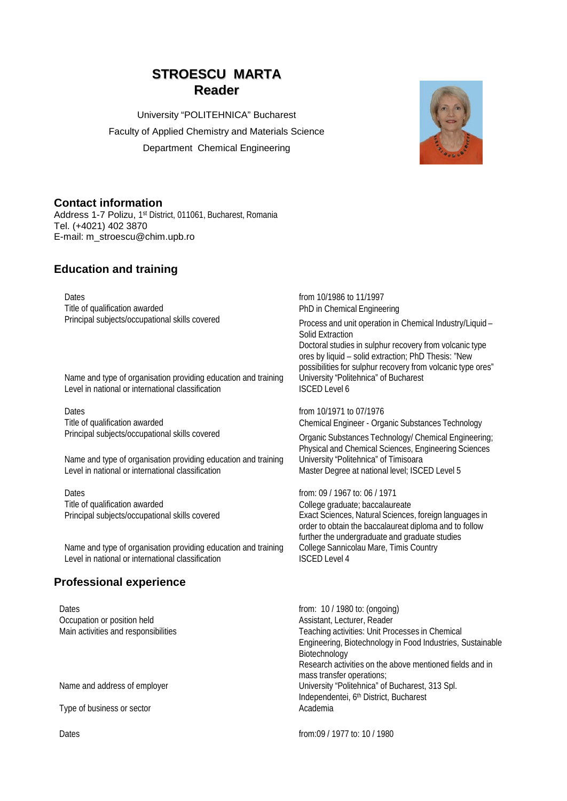# **STROESCU MARTA Reader**

University "POLITEHNICA" Bucharest Faculty of Applied Chemistry and Materials Science Department Chemical Engineering



### **Contact information**

Address 1-7 Polizu, 1<sup>st</sup> District, 011061, Bucharest, Romania Tel. (+4021) 402 3870 E-mail: m\_stroescu@chim.upb.ro

## **Education and training**

Dates<br>
Title of qualification awarded<br>
Title of qualification awarded<br>
Title of qualification awarded<br>
DhD in Chemical Enginee Title of qualification awarded<br>
Principal subjects/occupational skills covered<br>
Principal subjects/occupational skills covered<br>
Principal subjects/occupational skills covered<br>
Principal subjects/occupational skills covered

Name and type of organisation providing education and training University "Politication Level in national or international classification Level in national or international classification

Dates<br>
Title of qualification awarded<br>
Title of qualification awarded<br>
Title of qualification awarded<br>
Dates<br>
Chemical Engineer - Org Title of qualification awarded<br>
Principal subjects/occupational skills covered<br>
Chemical Engineer - Organic Substances Technology<br>
Chemical Engineeris

Name and type of organisation providing education and training University "Politehnica" of Timisoara Level in national or international classification Master Degree at national level; ISCED Level 5

Dates **from: 09 / 1967 to: 06 / 1971** Title of qualification awarded<br>
Principal subjects/occupational skills covered<br>
College graduate; baccalaureate<br>
Exact Sciences, Natural Sciences

Name and type of organisation providing education and training College Sannic<br>1 evel in national or international classification (ISCED Level 4 Level in national or international classification

# **Professional experience**

Dates<br>
Occupation or position held<br>
Occupation or position held<br>
Occupation or position held<br>
Occupation or position held<br>
Occupation or position held<br>
Occupation or position held<br>
Occupation or position held<br>
Occupation o Occupation or position held

Type of business or sector

Process and unit operation in Chemical Industry/Liquid – Solid Extraction

Doctoral studies in sulphur recovery from volcanic type ores by liquid – solid extraction; PhD Thesis: "New possibilities for sulphur recovery from volcanic type ores"<br>University "Politehnica" of Bucharest

**Organic Substances Technology/ Chemical Engineering;** Physical and Chemical Sciences, Engineering Sciences

Exact Sciences, Natural Sciences, foreign languages in order to obtain the baccalaureat diploma and to follow further the undergraduate and graduate studies<br>College Sannicolau Mare, Timis Country

Main activities and responsibilities Teaching activities: Unit Processes in Chemical Engineering, Biotechnology in Food Industries, Sustainable Biotechnology Research activities on the above mentioned fields and in mass transfer operations; Name and address of employer **Name and address of employer** University "Politehnica" of Bucharest, 313 Spl. Independentei, 6<sup>th</sup> District, Bucharest<br>Academia

Dates from:09 / 1977 to: 10 / 1980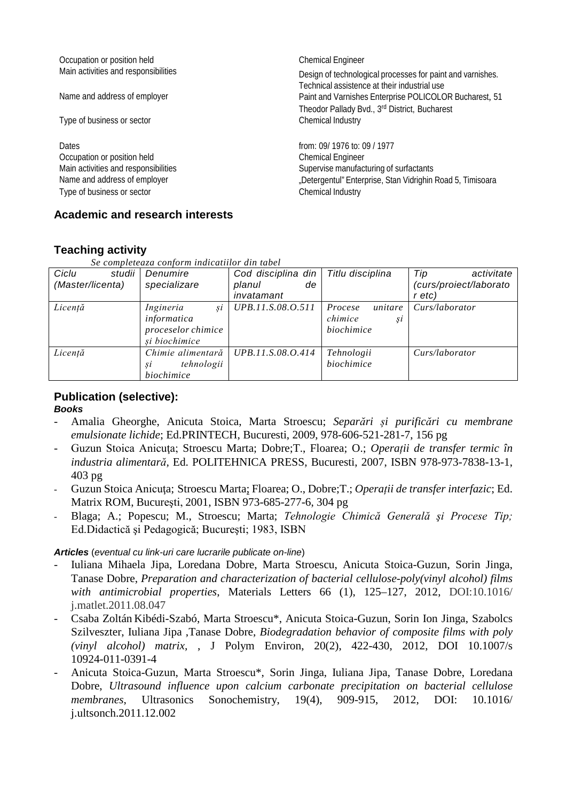| Occupation or position held<br>Main activities and responsibilities | <b>Chemical Engineer</b><br>Design of technological processes for paint and varnishes.<br>Technical assistence at their industrial use |  |
|---------------------------------------------------------------------|----------------------------------------------------------------------------------------------------------------------------------------|--|
| Name and address of employer                                        | Paint and Varnishes Enterprise POLICOLOR Bucharest, 51                                                                                 |  |
|                                                                     | Theodor Pallady Bvd., 3rd District, Bucharest                                                                                          |  |
| Type of business or sector                                          | Chemical Industry                                                                                                                      |  |
| Dates                                                               | from: 09/ 1976 to: 09 / 1977                                                                                                           |  |
| Occupation or position held                                         | <b>Chemical Engineer</b>                                                                                                               |  |
| Main activities and responsibilities                                | Supervise manufacturing of surfactants                                                                                                 |  |
| Name and address of employer                                        | "Detergentul" Enterprise, Stan Vidrighin Road 5, Timisoara                                                                             |  |
| Type of business or sector                                          | Chemical Industry                                                                                                                      |  |
|                                                                     |                                                                                                                                        |  |

# **Teaching activity**

*Se completeaza conform indicatiilor din tabel*

**Academic and research interests**

| Ciclu<br>studii  | Denumire           | Cod disciplina din | Titlu disciplina   | Tip<br>activitate      |
|------------------|--------------------|--------------------|--------------------|------------------------|
| (Master/licenta) | specializare       | planul<br>de       |                    | (curs/proiect/laborato |
|                  |                    | invatamant         |                    | r etc)                 |
| Licență          | Ingineria<br>si    | UPB.11.S.08.O.511  | unitare<br>Procese | Curs/laborator         |
|                  | informatica        |                    | chimice<br>Şİ      |                        |
|                  | proceselor chimice |                    | biochimice         |                        |
|                  | și biochimice      |                    |                    |                        |
| Licență          | Chimie alimentară  | UPB.11.S.08.O.414  | Tehnologii         | Curs/laborator         |
|                  | tehnologii<br>Şĺ   |                    | biochimice         |                        |
|                  | biochimice         |                    |                    |                        |

#### **Publication (selective):** *Books*

- Amalia Gheorghe, Anicuta Stoica, Marta Stroescu; *Separări și purificări cu membrane emulsionate lichide*; Ed.PRINTECH, Bucuresti, 2009, 978-606-521-281-7, 156 pg
- Guzun Stoica Anicuţa; Stroescu Marta; Dobre;T., Floarea; O.; *Operații de transfer termic în industria alimentară,* Ed. POLITEHNICA PRESS, Bucuresti, 2007, ISBN 978-973-7838-13-1, 403 pg
- Guzun Stoica Anicuţa; Stroescu Marta; Floarea; O., Dobre;T.; *Operații de transfer interfazic*; Ed. Matrix ROM, Bucureşti, 2001, ISBN 973-685-277-6, 304 pg
- Blaga; A.; Popescu; M., Stroescu; Marta; *Tehnologie Chimică Generală şi Procese Tip;*  Ed.Didactică şi Pedagogică; Bucureşti; 1983, ISBN

# *Articles* (*eventual cu link-uri care lucrarile publicate on-line*)

- Iuliana Mihaela Jipa, Loredana Dobre, Marta Stroescu, Anicuta Stoica-Guzun, Sorin Jinga, Tanase Dobre, *Preparation and characterization of bacterial cellulose-poly(vinyl alcohol) films with antimicrobial properties*, Materials Letters 66 (1), 125–127, 2012, DOI:10.1016/ j.matlet.2011.08.047
- Csaba Zoltán Kibédi-Szabó, Marta Stroescu\*, Anicuta Stoica-Guzun, Sorin Ion Jinga, Szabolcs Szilveszter, Iuliana Jipa ,Tanase Dobre, *Biodegradation behavior of composite films with poly (vinyl alcohol) matrix,* , J Polym Environ, 20(2), 422-430, 2012, DOI 10.1007/s 10924-011-0391-4
- Anicuta Stoica-Guzun, Marta Stroescu\*, Sorin Jinga, Iuliana Jipa, Tanase Dobre, Loredana Dobre, *Ultrasound influence upon calcium carbonate precipitation on bacterial cellulose membranes*, Ultrasonics Sonochemistry, 19(4), 909-915, 2012, DOI: 10.1016/ j.ultsonch.2011.12.002